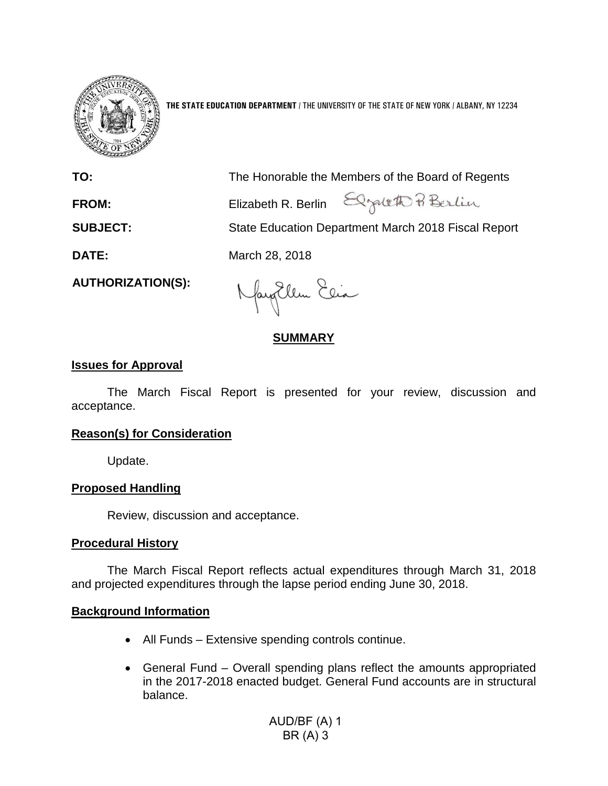

**THE STATE EDUCATION DEPARTMENT** / THE UNIVERSITY OF THE STATE OF NEW YORK / ALBANY, NY 12234

**TO:** The Honorable the Members of the Board of Regents FROM: Elizabeth R. Berlin Elizabeth P. Berlin **SUBJECT:** State Education Department March 2018 Fiscal Report **DATE:** March 28, 2018

**AUTHORIZATION(S):**

Naytlem Elia

# **SUMMARY**

## **Issues for Approval**

The March Fiscal Report is presented for your review, discussion and acceptance.

## **Reason(s) for Consideration**

Update.

# **Proposed Handling**

Review, discussion and acceptance.

## **Procedural History**

The March Fiscal Report reflects actual expenditures through March 31, 2018 and projected expenditures through the lapse period ending June 30, 2018.

## **Background Information**

- All Funds Extensive spending controls continue.
- General Fund Overall spending plans reflect the amounts appropriated in the 2017-2018 enacted budget. General Fund accounts are in structural balance.

AUD/BF (A) 1 BR (A) 3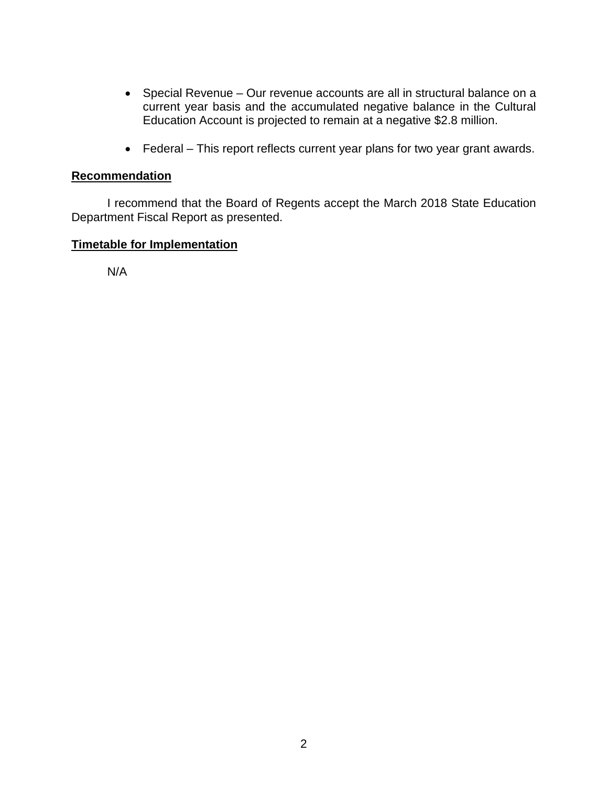- Special Revenue Our revenue accounts are all in structural balance on a current year basis and the accumulated negative balance in the Cultural Education Account is projected to remain at a negative \$2.8 million.
- Federal This report reflects current year plans for two year grant awards.

# **Recommendation**

I recommend that the Board of Regents accept the March 2018 State Education Department Fiscal Report as presented.

## **Timetable for Implementation**

N/A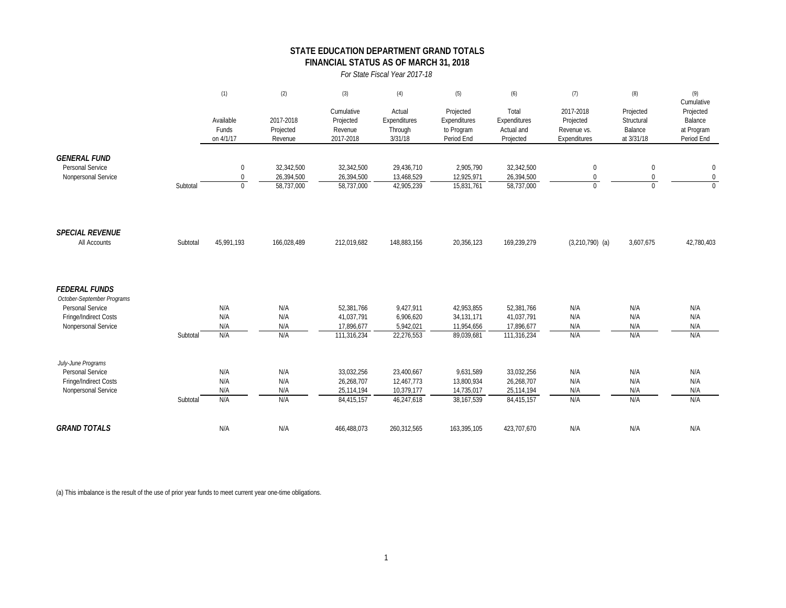### **STATE EDUCATION DEPARTMENT GRAND TOTALS FINANCIAL STATUS AS OF MARCH 31, 2018**

*For State Fiscal Year 2017-18*

|                                                                                                                        |          | (1)                                           | (2)                                    | (3)                                                   | (4)                                                  | (5)                                                    | (6)                                                   | (7)                                                   | (8)                                              | (9)                                                            |
|------------------------------------------------------------------------------------------------------------------------|----------|-----------------------------------------------|----------------------------------------|-------------------------------------------------------|------------------------------------------------------|--------------------------------------------------------|-------------------------------------------------------|-------------------------------------------------------|--------------------------------------------------|----------------------------------------------------------------|
|                                                                                                                        |          | Available<br>Funds<br>on 4/1/17               | 2017-2018<br>Projected<br>Revenue      | Cumulative<br>Projected<br>Revenue<br>2017-2018       | Actual<br>Expenditures<br>Through<br>3/31/18         | Projected<br>Expenditures<br>to Program<br>Period End  | Total<br>Expenditures<br>Actual and<br>Projected      | 2017-2018<br>Projected<br>Revenue vs.<br>Expenditures | Projected<br>Structural<br>Balance<br>at 3/31/18 | Cumulative<br>Projected<br>Balance<br>at Program<br>Period End |
| <b>GENERAL FUND</b><br>Personal Service<br>Nonpersonal Service                                                         | Subtotal | $\pmb{0}$<br>$\boldsymbol{0}$<br>$\mathbf{0}$ | 32,342,500<br>26,394,500<br>58,737,000 | 32,342,500<br>26,394,500<br>58,737,000                | 29,436,710<br>13,468,529<br>42,905,239               | 2,905,790<br>12,925,971<br>15,831,761                  | 32,342,500<br>26,394,500<br>58,737,000                | $\mathbf 0$<br>$\mathbf 0$<br>$\Omega$                | $\mathbf 0$<br>$\mathbf 0$<br>$\Omega$           | $\mathbf 0$<br>$\boldsymbol{0}$<br>$\overline{0}$              |
| <b>SPECIAL REVENUE</b><br>All Accounts                                                                                 | Subtotal | 45,991,193                                    | 166,028,489                            | 212,019,682                                           | 148,883,156                                          | 20,356,123                                             | 169,239,279                                           | $(3,210,790)$ (a)                                     | 3,607,675                                        | 42,780,403                                                     |
| <b>FEDERAL FUNDS</b><br>October-September Programs<br>Personal Service<br>Fringe/Indirect Costs<br>Nonpersonal Service | Subtotal | N/A<br>N/A<br>N/A<br>N/A                      | N/A<br>N/A<br>N/A<br>N/A               | 52,381,766<br>41,037,791<br>17,896,677<br>111,316,234 | 9,427,911<br>6,906,620<br>5,942,021<br>22,276,553    | 42,953,855<br>34, 131, 171<br>11,954,656<br>89,039,681 | 52,381,766<br>41,037,791<br>17,896,677<br>111,316,234 | N/A<br>N/A<br>N/A<br>N/A                              | N/A<br>N/A<br>N/A<br>N/A                         | N/A<br>N/A<br>N/A<br>N/A                                       |
| July-June Programs<br>Personal Service<br>Fringe/Indirect Costs<br>Nonpersonal Service                                 | Subtotal | N/A<br>N/A<br>N/A<br>N/A                      | N/A<br>N/A<br>N/A<br>N/A               | 33,032,256<br>26,268,707<br>25,114,194<br>84,415,157  | 23,400,667<br>12,467,773<br>10,379,177<br>46,247,618 | 9,631,589<br>13,800,934<br>14,735,017<br>38, 167, 539  | 33,032,256<br>26,268,707<br>25,114,194<br>84,415,157  | N/A<br>N/A<br>N/A<br>N/A                              | N/A<br>N/A<br>N/A<br>N/A                         | N/A<br>N/A<br>N/A<br>N/A                                       |
| <b>GRAND TOTALS</b>                                                                                                    |          | N/A                                           | N/A                                    | 466,488,073                                           | 260,312,565                                          | 163,395,105                                            | 423,707,670                                           | N/A                                                   | N/A                                              | N/A                                                            |

(a) This imbalance is the result of the use of prior year funds to meet current year one-time obligations.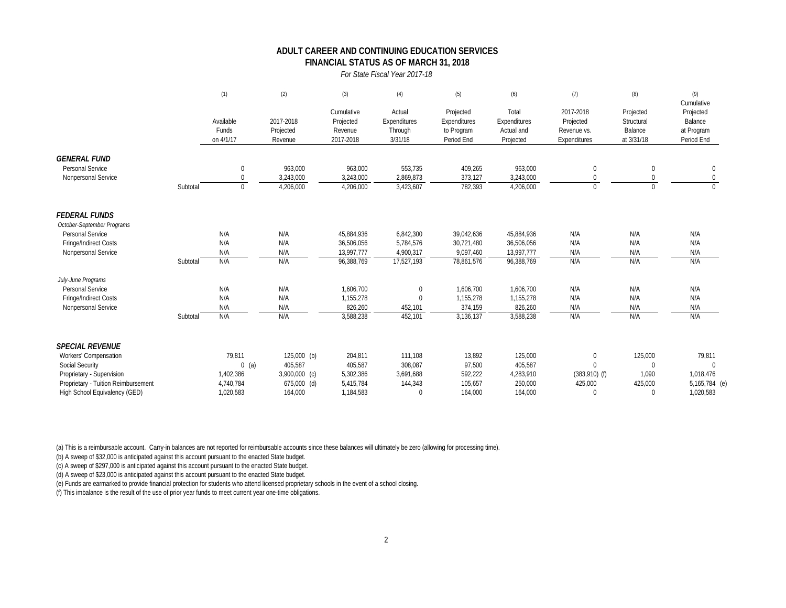### **FINANCIAL STATUS AS OF MARCH 31, 2018 ADULT CAREER AND CONTINUING EDUCATION SERVICES**

#### *For State Fiscal Year 2017-18*

|                                     |          | (1)                             | (2)                               | (3)                                             | (4)                                          | (5)                                                   | (6)                                              | (7)                                                   | (8)                                              | (9)<br>Cumulative                                |
|-------------------------------------|----------|---------------------------------|-----------------------------------|-------------------------------------------------|----------------------------------------------|-------------------------------------------------------|--------------------------------------------------|-------------------------------------------------------|--------------------------------------------------|--------------------------------------------------|
|                                     |          | Available<br>Funds<br>on 4/1/17 | 2017-2018<br>Projected<br>Revenue | Cumulative<br>Projected<br>Revenue<br>2017-2018 | Actual<br>Expenditures<br>Through<br>3/31/18 | Projected<br>Expenditures<br>to Program<br>Period End | Total<br>Expenditures<br>Actual and<br>Projected | 2017-2018<br>Projected<br>Revenue vs.<br>Expenditures | Projected<br>Structural<br>Balance<br>at 3/31/18 | Projected<br>Balance<br>at Program<br>Period End |
| <b>GENERAL FUND</b>                 |          |                                 |                                   |                                                 |                                              |                                                       |                                                  |                                                       |                                                  |                                                  |
| Personal Service                    |          | $\Omega$                        | 963,000                           | 963,000                                         | 553,735                                      | 409,265                                               | 963,000                                          | $\Omega$                                              | $\Omega$                                         | 0                                                |
| Nonpersonal Service                 |          |                                 | 3,243,000                         | 3,243,000                                       | 2,869,873                                    | 373,127                                               | 3,243,000                                        | <sup>0</sup>                                          |                                                  | 0                                                |
|                                     | Subtotal | $\Omega$                        | 4,206,000                         | 4,206,000                                       | 3,423,607                                    | 782,393                                               | 4,206,000                                        | $\Omega$                                              |                                                  | $\Omega$                                         |
| <b>FEDERAL FUNDS</b>                |          |                                 |                                   |                                                 |                                              |                                                       |                                                  |                                                       |                                                  |                                                  |
| October-September Programs          |          |                                 |                                   |                                                 |                                              |                                                       |                                                  |                                                       |                                                  |                                                  |
| Personal Service                    |          | N/A                             | N/A                               | 45,884,936                                      | 6,842,300                                    | 39,042,636                                            | 45,884,936                                       | N/A                                                   | N/A                                              | N/A                                              |
| Fringe/Indirect Costs               |          | N/A                             | N/A                               | 36.506.056                                      | 5,784,576                                    | 30.721.480                                            | 36,506,056                                       | N/A                                                   | N/A                                              | N/A                                              |
| Nonpersonal Service                 |          | N/A                             | N/A                               | 13,997,777                                      | 4,900,317                                    | 9,097,460                                             | 13,997,777                                       | N/A                                                   | N/A                                              | N/A                                              |
|                                     | Subtotal | N/A                             | N/A                               | 96,388,769                                      | 17,527,193                                   | 78,861,576                                            | 96,388,769                                       | N/A                                                   | N/A                                              | N/A                                              |
| July-June Programs                  |          |                                 |                                   |                                                 |                                              |                                                       |                                                  |                                                       |                                                  |                                                  |
| Personal Service                    |          | N/A                             | N/A                               | 1,606,700                                       | $\mathbf 0$                                  | 1,606,700                                             | 1,606,700                                        | N/A                                                   | N/A                                              | N/A                                              |
| Fringe/Indirect Costs               |          | N/A                             | N/A                               | 1,155,278                                       | $\Omega$                                     | 1,155,278                                             | 1,155,278                                        | N/A                                                   | N/A                                              | N/A                                              |
| Nonpersonal Service                 |          | N/A                             | N/A                               | 826,260                                         | 452,101                                      | 374,159                                               | 826,260                                          | N/A                                                   | N/A                                              | N/A                                              |
|                                     | Subtotal | N/A                             | N/A                               | 3,588,238                                       | 452,101                                      | 3,136,137                                             | 3,588,238                                        | N/A                                                   | N/A                                              | N/A                                              |
| <b>SPECIAL REVENUE</b>              |          |                                 |                                   |                                                 |                                              |                                                       |                                                  |                                                       |                                                  |                                                  |
| Workers' Compensation               |          | 79,811                          | $125,000$ (b)                     | 204,811                                         | 111,108                                      | 13,892                                                | 125,000                                          | $\mathbf{0}$                                          | 125,000                                          | 79,811                                           |
| <b>Social Security</b>              |          | $0$ (a)                         | 405,587                           | 405,587                                         | 308,087                                      | 97,500                                                | 405,587                                          | $\Omega$                                              | $\Omega$                                         | $\Omega$                                         |
| Proprietary - Supervision           |          | 1,402,386                       | 3,900,000 (c)                     | 5,302,386                                       | 3,691,688                                    | 592,222                                               | 4,283,910                                        | $(383,910)$ (f)                                       | 1,090                                            | 1,018,476                                        |
| Proprietary - Tuition Reimbursement |          | 4,740,784                       | 675,000 (d)                       | 5,415,784                                       | 144,343                                      | 105,657                                               | 250,000                                          | 425,000                                               | 425,000                                          | 5,165,784 (e)                                    |
| High School Equivalency (GED)       |          | 1.020.583                       | 164.000                           | 1.184.583                                       | $\Omega$                                     | 164.000                                               | 164.000                                          | $\Omega$                                              | $\Omega$                                         | 1,020,583                                        |

(a) This is a reimbursable account. Carry-in balances are not reported for reimbursable accounts since these balances will ultimately be zero (allowing for processing time).

(b) A sweep of \$32,000 is anticipated against this account pursuant to the enacted State budget.

(c) A sweep of \$297,000 is anticipated against this account pursuant to the enacted State budget.

(d) A sweep of \$23,000 is anticipated against this account pursuant to the enacted State budget.

(e) Funds are earmarked to provide financial protection for students who attend licensed proprietary schools in the event of a school closing.

(f) This imbalance is the result of the use of prior year funds to meet current year one-time obligations.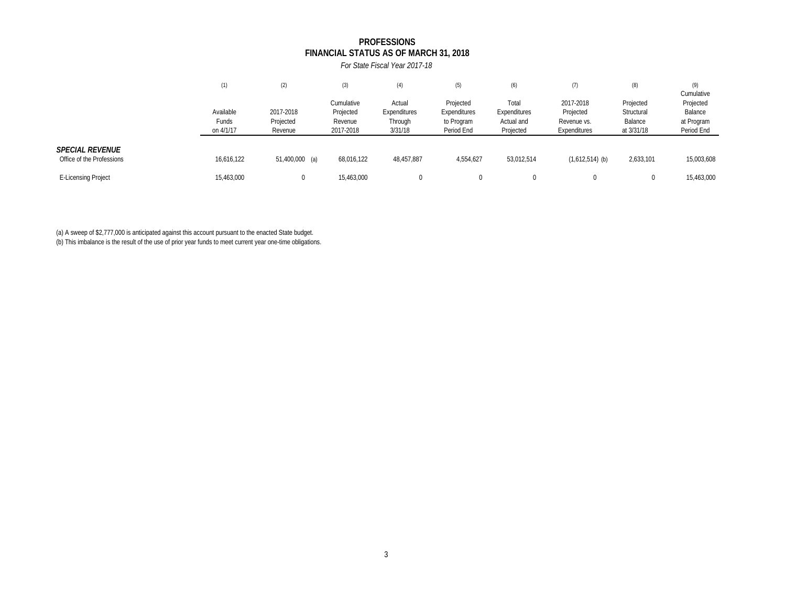### **FINANCIAL STATUS AS OF MARCH 31, 2018 PROFESSIONS**

*For State Fiscal Year 2017-18*

|                                                     | (1)                                    | (2)                               | (3)                                             | (4)                                          | (5)                                                   | (6)                                              | (7)                                                   | (8)                                              | (9)<br>Cumulative                                |
|-----------------------------------------------------|----------------------------------------|-----------------------------------|-------------------------------------------------|----------------------------------------------|-------------------------------------------------------|--------------------------------------------------|-------------------------------------------------------|--------------------------------------------------|--------------------------------------------------|
|                                                     | Available<br><b>Funds</b><br>on 4/1/17 | 2017-2018<br>Projected<br>Revenue | Cumulative<br>Projected<br>Revenue<br>2017-2018 | Actual<br>Expenditures<br>Through<br>3/31/18 | Projected<br>Expenditures<br>to Program<br>Period End | Total<br>Expenditures<br>Actual and<br>Projected | 2017-2018<br>Projected<br>Revenue vs.<br>Expenditures | Projected<br>Structural<br>Balance<br>at 3/31/18 | Projected<br>Balance<br>at Program<br>Period End |
| <b>SPECIAL REVENUE</b><br>Office of the Professions | 16,616,122                             | 51,400,000 (a)                    | 68,016,122                                      | 48,457,887                                   | 4,554,627                                             | 53,012,514                                       | $(1,612,514)$ (b)                                     | 2,633,101                                        | 15,003,608                                       |
| <b>E-Licensing Project</b>                          | 15,463,000                             |                                   | 15,463,000                                      |                                              | 0                                                     |                                                  |                                                       |                                                  | 15,463,000                                       |

(a) A sweep of \$2,777,000 is anticipated against this account pursuant to the enacted State budget.

(b) This imbalance is the result of the use of prior year funds to meet current year one-time obligations.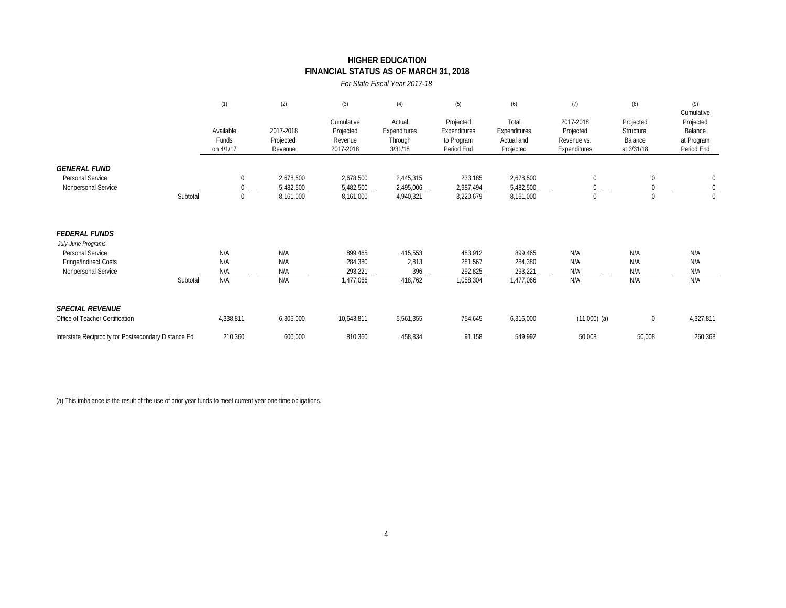### **HIGHER EDUCATION FINANCIAL STATUS AS OF MARCH 31, 2018**

*For State Fiscal Year 2017-18*

|                                                      |          | (1)                             | (2)                               | (3)                                             | (4)                                          | (5)                                                   | (6)                                              | (7)                                                   | (8)                                              | (9)<br>Cumulative                                |
|------------------------------------------------------|----------|---------------------------------|-----------------------------------|-------------------------------------------------|----------------------------------------------|-------------------------------------------------------|--------------------------------------------------|-------------------------------------------------------|--------------------------------------------------|--------------------------------------------------|
|                                                      |          | Available<br>Funds<br>on 4/1/17 | 2017-2018<br>Projected<br>Revenue | Cumulative<br>Projected<br>Revenue<br>2017-2018 | Actual<br>Expenditures<br>Through<br>3/31/18 | Projected<br>Expenditures<br>to Program<br>Period End | Total<br>Expenditures<br>Actual and<br>Projected | 2017-2018<br>Projected<br>Revenue vs.<br>Expenditures | Projected<br>Structural<br>Balance<br>at 3/31/18 | Projected<br>Balance<br>at Program<br>Period End |
| <b>GENERAL FUND</b>                                  |          |                                 |                                   |                                                 |                                              |                                                       |                                                  |                                                       |                                                  |                                                  |
| Personal Service<br>Nonpersonal Service              |          | $\mathbf 0$<br>$\Omega$         | 2,678,500<br>5,482,500            | 2,678,500<br>5,482,500                          | 2,445,315<br>2,495,006                       | 233,185<br>2,987,494                                  | 2,678,500<br>5,482,500                           | $\theta$                                              | 0                                                | $\mathbf 0$<br>$\mathbf 0$                       |
|                                                      | Subtotal | $\mathbf 0$                     | 8,161,000                         | 8,161,000                                       | 4,940,321                                    | 3,220,679                                             | 8,161,000                                        | $\mathbf{0}$                                          | 0                                                | $\Omega$                                         |
| <b>FEDERAL FUNDS</b><br>July-June Programs           |          |                                 |                                   |                                                 |                                              |                                                       |                                                  |                                                       |                                                  |                                                  |
| Personal Service                                     |          | N/A                             | N/A                               | 899,465                                         | 415,553                                      | 483,912                                               | 899,465                                          | N/A                                                   | N/A                                              | N/A                                              |
| Fringe/Indirect Costs<br>Nonpersonal Service         |          | N/A<br>N/A                      | N/A<br>N/A                        | 284,380<br>293,221                              | 2,813<br>396                                 | 281,567<br>292,825                                    | 284,380<br>293,221                               | N/A<br>N/A                                            | N/A<br>N/A                                       | N/A<br>N/A                                       |
|                                                      | Subtotal | N/A                             | N/A                               | 1,477,066                                       | 418,762                                      | 1,058,304                                             | 1,477,066                                        | N/A                                                   | N/A                                              | N/A                                              |
| <b>SPECIAL REVENUE</b>                               |          |                                 |                                   |                                                 |                                              |                                                       |                                                  |                                                       |                                                  |                                                  |
| Office of Teacher Certification                      |          | 4,338,811                       | 6,305,000                         | 10,643,811                                      | 5,561,355                                    | 754,645                                               | 6,316,000                                        | $(11,000)$ (a)                                        | 0                                                | 4,327,811                                        |
| Interstate Reciprocity for Postsecondary Distance Ed |          | 210,360                         | 600,000                           | 810,360                                         | 458,834                                      | 91,158                                                | 549,992                                          | 50,008                                                | 50,008                                           | 260,368                                          |

(a) This imbalance is the result of the use of prior year funds to meet current year one-time obligations.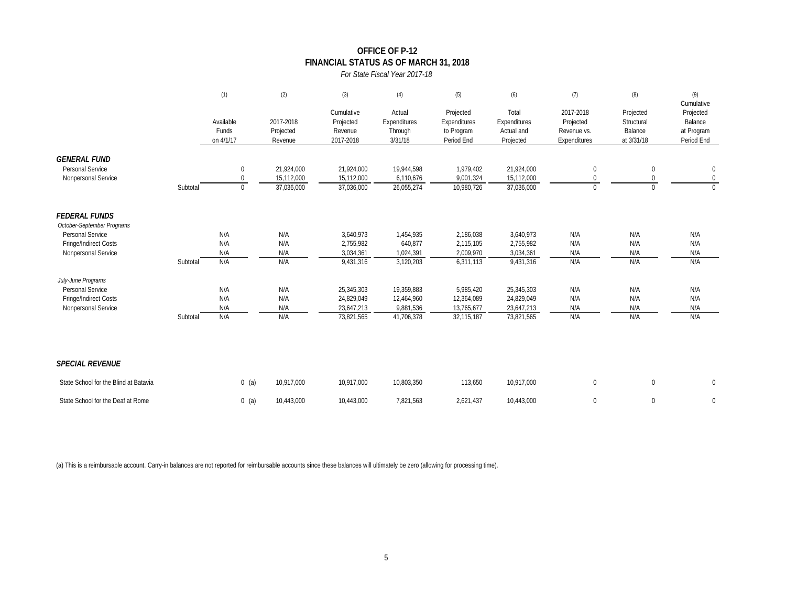### **OFFICE OF P-12 FINANCIAL STATUS AS OF MARCH 31, 2018**

#### *For State Fiscal Year 2017-18*

|                                                                |          | (1)                             | (2)                               | (3)                                             | (4)                                          | (5)                                                   | (6)                                              | (7)                                                   | (8)                                              | (9)<br>Cumulative                                |
|----------------------------------------------------------------|----------|---------------------------------|-----------------------------------|-------------------------------------------------|----------------------------------------------|-------------------------------------------------------|--------------------------------------------------|-------------------------------------------------------|--------------------------------------------------|--------------------------------------------------|
|                                                                |          | Available<br>Funds<br>on 4/1/17 | 2017-2018<br>Projected<br>Revenue | Cumulative<br>Projected<br>Revenue<br>2017-2018 | Actual<br>Expenditures<br>Through<br>3/31/18 | Projected<br>Expenditures<br>to Program<br>Period End | Total<br>Expenditures<br>Actual and<br>Projected | 2017-2018<br>Projected<br>Revenue vs.<br>Expenditures | Projected<br>Structural<br>Balance<br>at 3/31/18 | Projected<br>Balance<br>at Program<br>Period End |
| <b>GENERAL FUND</b><br>Personal Service<br>Nonpersonal Service |          | 0<br>$\mathbf 0$                | 21,924,000<br>15,112,000          | 21,924,000<br>15,112,000                        | 19,944,598<br>6,110,676                      | 1,979,402<br>9,001,324                                | 21,924,000<br>15,112,000                         | 0<br>0                                                | $\mathbf 0$<br>0                                 | $\pmb{0}$<br>$\overline{0}$                      |
|                                                                | Subtotal | $\mathbf{0}$                    | 37,036,000                        | 37,036,000                                      | 26,055,274                                   | 10,980,726                                            | 37,036,000                                       | $\Omega$                                              | $\Omega$                                         | $\mathbf{0}$                                     |
| <b>FEDERAL FUNDS</b><br>October-September Programs             |          |                                 |                                   |                                                 |                                              |                                                       |                                                  |                                                       |                                                  |                                                  |
| Personal Service                                               |          | N/A                             | N/A                               | 3,640,973                                       | 1,454,935                                    | 2,186,038                                             | 3,640,973                                        | N/A                                                   | N/A                                              | N/A                                              |
| Fringe/Indirect Costs                                          |          | N/A                             | N/A                               | 2,755,982                                       | 640,877                                      | 2,115,105                                             | 2,755,982                                        | N/A                                                   | N/A                                              | N/A                                              |
| Nonpersonal Service                                            |          | N/A                             | N/A                               | 3,034,361                                       | 1,024,391                                    | 2,009,970                                             | 3,034,361                                        | N/A                                                   | N/A                                              | N/A                                              |
|                                                                | Subtotal | N/A                             | N/A                               | 9,431,316                                       | 3,120,203                                    | 6,311,113                                             | 9,431,316                                        | N/A                                                   | N/A                                              | N/A                                              |
| July-June Programs                                             |          |                                 |                                   |                                                 |                                              |                                                       |                                                  |                                                       |                                                  |                                                  |
| Personal Service                                               |          | N/A                             | N/A                               | 25,345,303                                      | 19,359,883                                   | 5,985,420                                             | 25,345,303                                       | N/A                                                   | N/A                                              | N/A                                              |
| Fringe/Indirect Costs                                          |          | N/A<br>N/A                      | N/A<br>N/A                        | 24,829,049<br>23,647,213                        | 12,464,960<br>9,881,536                      | 12,364,089<br>13,765,677                              | 24,829,049<br>23,647,213                         | N/A<br>N/A                                            | N/A<br>N/A                                       | N/A<br>N/A                                       |
| Nonpersonal Service                                            | Subtotal | N/A                             | N/A                               | 73,821,565                                      | 41,706,378                                   | 32,115,187                                            | 73,821,565                                       | N/A                                                   | N/A                                              | N/A                                              |
| <b>SPECIAL REVENUE</b>                                         |          |                                 |                                   |                                                 |                                              |                                                       |                                                  |                                                       |                                                  |                                                  |
|                                                                |          |                                 |                                   |                                                 |                                              |                                                       |                                                  |                                                       |                                                  |                                                  |
| State School for the Blind at Batavia                          |          | $0$ (a)                         | 10,917,000                        | 10,917,000                                      | 10,803,350                                   | 113,650                                               | 10,917,000                                       | $\mathbf{0}$                                          | $\mathbf 0$                                      | $\mathbf 0$                                      |
| State School for the Deaf at Rome                              |          | $0$ (a)                         | 10,443,000                        | 10,443,000                                      | 7,821,563                                    | 2,621,437                                             | 10,443,000                                       | $\Omega$                                              | $\mathbf{0}$                                     | $\mathbf 0$                                      |

(a) This is a reimbursable account. Carry-in balances are not reported for reimbursable accounts since these balances will ultimately be zero (allowing for processing time).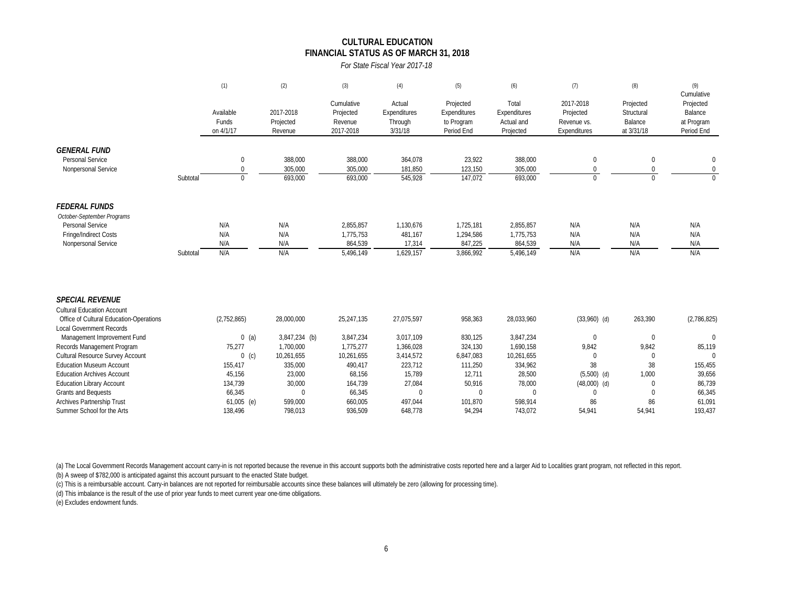#### **FINANCIAL STATUS AS OF MARCH 31, 2018 CULTURAL EDUCATION**

*For State Fiscal Year 2017-18*

|                                         |          | (1)                             | (2)                               | (3)                                             | (4)                                          | (5)                                                   | (6)                                              | (7)                                                   | (8)                                              | (9)<br>Cumulative                                |
|-----------------------------------------|----------|---------------------------------|-----------------------------------|-------------------------------------------------|----------------------------------------------|-------------------------------------------------------|--------------------------------------------------|-------------------------------------------------------|--------------------------------------------------|--------------------------------------------------|
|                                         |          | Available<br>Funds<br>on 4/1/17 | 2017-2018<br>Projected<br>Revenue | Cumulative<br>Projected<br>Revenue<br>2017-2018 | Actual<br>Expenditures<br>Through<br>3/31/18 | Projected<br>Expenditures<br>to Program<br>Period End | Total<br>Expenditures<br>Actual and<br>Projected | 2017-2018<br>Projected<br>Revenue vs.<br>Expenditures | Projected<br>Structural<br>Balance<br>at 3/31/18 | Projected<br>Balance<br>at Program<br>Period End |
| <b>GENERAL FUND</b>                     |          |                                 |                                   |                                                 |                                              |                                                       |                                                  |                                                       |                                                  |                                                  |
| Personal Service                        |          | $\mathbf 0$                     | 388,000                           | 388,000                                         | 364,078                                      | 23,922                                                | 388,000                                          | $\mathbf{0}$                                          | 0                                                | $\mathbf 0$                                      |
| Nonpersonal Service                     |          | $\Omega$                        | 305,000                           | 305,000                                         | 181,850                                      | 123,150                                               | 305,000                                          | $\Omega$                                              |                                                  | $\mathbf{0}$                                     |
|                                         | Subtotal | $\Omega$                        | 693,000                           | 693,000                                         | 545,928                                      | 147,072                                               | 693,000                                          | $\Omega$                                              | $\cap$                                           | $\Omega$                                         |
| <b>FEDERAL FUNDS</b>                    |          |                                 |                                   |                                                 |                                              |                                                       |                                                  |                                                       |                                                  |                                                  |
| October-September Programs              |          |                                 |                                   |                                                 |                                              |                                                       |                                                  |                                                       |                                                  |                                                  |
| Personal Service                        |          | N/A                             | N/A                               | 2,855,857                                       | 1,130,676                                    | 1,725,181                                             | 2,855,857                                        | N/A                                                   | N/A                                              | N/A                                              |
| Fringe/Indirect Costs                   |          | N/A                             | N/A                               | 1,775,753                                       | 481,167                                      | 1,294,586                                             | 1,775,753                                        | N/A                                                   | N/A                                              | N/A                                              |
| Nonpersonal Service                     |          | N/A                             | N/A                               | 864,539                                         | 17,314                                       | 847,225                                               | 864,539                                          | N/A                                                   | N/A                                              | N/A                                              |
|                                         | Subtotal | N/A                             | N/A                               | 5,496,149                                       | 1,629,157                                    | 3,866,992                                             | 5,496,149                                        | N/A                                                   | N/A                                              | N/A                                              |
| <b>SPECIAL REVENUE</b>                  |          |                                 |                                   |                                                 |                                              |                                                       |                                                  |                                                       |                                                  |                                                  |
| <b>Cultural Education Account</b>       |          |                                 |                                   |                                                 |                                              |                                                       |                                                  |                                                       |                                                  |                                                  |
| Office of Cultural Education-Operations |          | (2,752,865)                     | 28,000,000                        | 25,247,135                                      | 27,075,597                                   | 958,363                                               | 28,033,960                                       | $(33,960)$ (d)                                        | 263,390                                          | (2,786,825)                                      |
| <b>Local Government Records</b>         |          |                                 |                                   |                                                 |                                              |                                                       |                                                  |                                                       |                                                  |                                                  |
| Management Improvement Fund             |          | $0$ (a)                         | 3,847,234 (b)                     | 3,847,234                                       | 3,017,109                                    | 830,125                                               | 3,847,234                                        | $\mathbf 0$                                           | $\mathbf{0}$                                     | $\mathbf{0}$                                     |
| Records Management Program              |          | 75,277                          | 1,700,000                         | 1,775,277                                       | 1,366,028                                    | 324,130                                               | 1,690,158                                        | 9,842                                                 | 9,842                                            | 85,119                                           |
| Cultural Resource Survey Account        |          | $0$ (c)                         | 10,261,655                        | 10,261,655                                      | 3,414,572                                    | 6,847,083                                             | 10,261,655                                       | $\mathbf 0$                                           | $\mathbf 0$                                      | $\Omega$                                         |
| <b>Fducation Museum Account</b>         |          | 155,417                         | 335,000                           | 490,417                                         | 223,712                                      | 111,250                                               | 334,962                                          | 38                                                    | 38                                               | 155,455                                          |
| <b>Education Archives Account</b>       |          | 45,156                          | 23,000                            | 68,156                                          | 15,789                                       | 12,711                                                | 28,500                                           | $(5,500)$ (d)                                         | 1,000                                            | 39,656                                           |
| <b>Education Library Account</b>        |          | 134,739                         | 30,000                            | 164,739                                         | 27,084                                       | 50,916                                                | 78,000                                           | $(48,000)$ (d)                                        | $\Omega$                                         | 86,739                                           |
| Grants and Bequests                     |          | 66,345                          | $\Omega$                          | 66,345                                          | $\mathbf 0$                                  | $\Omega$                                              | $\Omega$                                         | $\Omega$                                              | $\Omega$                                         | 66,345                                           |
| <b>Archives Partnership Trust</b>       |          | $61,005$ (e)                    | 599.000                           | 660.005                                         | 497.044                                      | 101,870                                               | 598.914                                          | 86                                                    | 86                                               | 61,091                                           |

(a) The Local Government Records Management account carry-in is not reported because the revenue in this account supports both the administrative costs reported here and a larger Aid to Localities grant program, not reflec

(b) A sweep of \$782,000 is anticipated against this account pursuant to the enacted State budget.

(c) This is a reimbursable account. Carry-in balances are not reported for reimbursable accounts since these balances will ultimately be zero (allowing for processing time).

(d) This imbalance is the result of the use of prior year funds to meet current year one-time obligations.

(e) Excludes endowment funds.

Summer School for the Arts 138,496 138,496 798,013 936,509 648,778 94,294 743,072 54,941 54,941 54,941 193,437